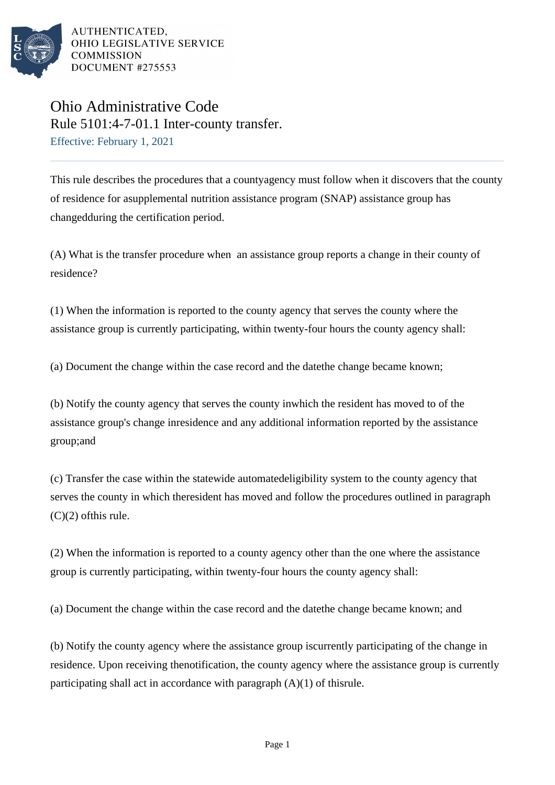

AUTHENTICATED. OHIO LEGISLATIVE SERVICE **COMMISSION** DOCUMENT #275553

## Ohio Administrative Code Rule 5101:4-7-01.1 Inter-county transfer. Effective: February 1, 2021

This rule describes the procedures that a countyagency must follow when it discovers that the county of residence for asupplemental nutrition assistance program (SNAP) assistance group has changedduring the certification period.

(A) What is the transfer procedure when an assistance group reports a change in their county of residence?

(1) When the information is reported to the county agency that serves the county where the assistance group is currently participating, within twenty-four hours the county agency shall:

(a) Document the change within the case record and the date the change became known;

(b) Notify the county agency that serves the county in which the resident has moved to of the assistance group's change in residence and any additional information reported by the assistance group; and

(c) Transfer the case within the statewide automated eligibility system to the county agency that serves the county in which the resident has moved and follow the procedures outlined in paragraph  $(C)(2)$  of this rule.

(2) When the information is reported to a county agency other than the one where the assistance group is currently participating, within twenty-four hours the county agency shall:

(a) Document the change within the case record and the date the change became known; and

(b) Notify the county agency where the assistance group is currently participating of the change in residence. Upon receiving the notification, the county agency where the assistance group is currently participating shall act in accordance with paragraph  $(A)(1)$  of this rule.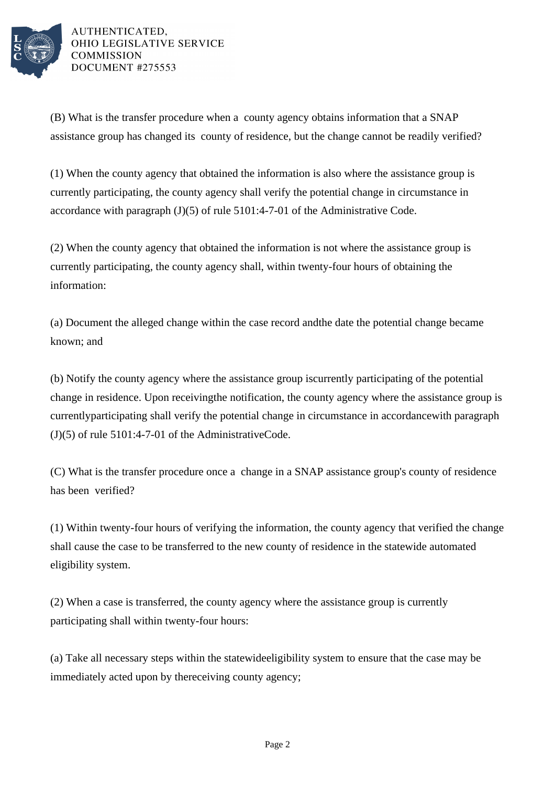

AUTHENTICATED. OHIO LEGISLATIVE SERVICE **COMMISSION** DOCUMENT #275553

(B) What is the transfer procedure when a county agency obtains information that a SNAP assistance group has changed its county of residence, but the change cannot be readily verified?

(1) When the county agency that obtained the information is also where the assistance group is currently participating, the county agency shall verify the potential change in circumstance in accordance with paragraph  $(J)(5)$  of rule 5101:4-7-01 of the Administrative Code.

(2) When the county agency that obtained the information is not where the assistance group is currently participating, the county agency shall, within twenty-four hours of obtaining the information:

(a) Document the alleged change within the case record and the date the potential change became known; and

(b) Notify the county agency where the assistance group is currently participating of the potential change in residence. Upon receiving the notification, the county agency where the assistance group is currently participating shall verify the potential change in circumstance in accordance with paragraph  $(J)(5)$  of rule 5101:4-7-01 of the Administrative Code.

(C) What is the transfer procedure once a change in a SNAP assistance group's county of residence has been verified?

(1) Within twenty-four hours of verifying the information, the county agency that verified the change shall cause the case to be transferred to the new county of residence in the statewide automated eligibility system.

(2) When a case is transferred, the county agency where the assistance group is currently participating shall within twenty-four hours:

(a) Take all necessary steps within the statewide eligibility system to ensure that the case may be immediately acted upon by the receiving county agency;